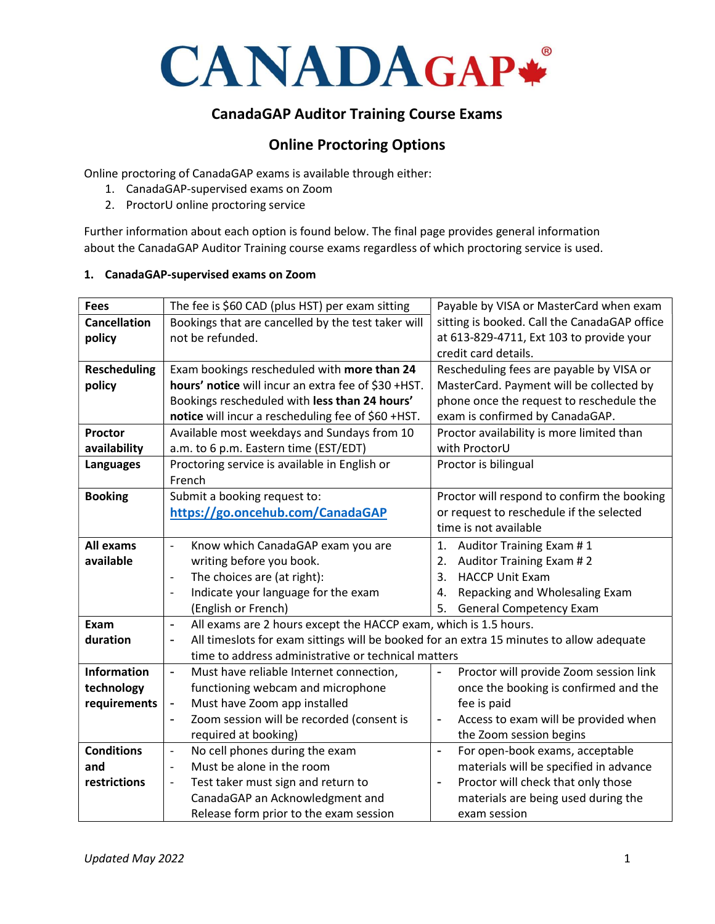

# CanadaGAP Auditor Training Course Exams

# Online Proctoring Options

Online proctoring of CanadaGAP exams is available through either:

- 1. CanadaGAP-supervised exams on Zoom
- 2. ProctorU online proctoring service

Further information about each option is found below. The final page provides general information about the CanadaGAP Auditor Training course exams regardless of which proctoring service is used.

#### 1. CanadaGAP-supervised exams on Zoom

| <b>Fees</b>         | The fee is \$60 CAD (plus HST) per exam sitting                                          | Payable by VISA or MasterCard when exam                          |
|---------------------|------------------------------------------------------------------------------------------|------------------------------------------------------------------|
| <b>Cancellation</b> | Bookings that are cancelled by the test taker will                                       | sitting is booked. Call the CanadaGAP office                     |
| policy              | not be refunded.                                                                         | at 613-829-4711, Ext 103 to provide your                         |
|                     |                                                                                          | credit card details.                                             |
| <b>Rescheduling</b> | Exam bookings rescheduled with more than 24                                              | Rescheduling fees are payable by VISA or                         |
| policy              | hours' notice will incur an extra fee of \$30 +HST.                                      | MasterCard. Payment will be collected by                         |
|                     | Bookings rescheduled with less than 24 hours'                                            | phone once the request to reschedule the                         |
|                     | notice will incur a rescheduling fee of \$60 +HST.                                       | exam is confirmed by CanadaGAP.                                  |
| Proctor             | Available most weekdays and Sundays from 10                                              | Proctor availability is more limited than                        |
| availability        | a.m. to 6 p.m. Eastern time (EST/EDT)                                                    | with ProctorU                                                    |
| Languages           | Proctoring service is available in English or                                            | Proctor is bilingual                                             |
|                     | French                                                                                   |                                                                  |
| <b>Booking</b>      | Submit a booking request to:                                                             | Proctor will respond to confirm the booking                      |
|                     | https://go.oncehub.com/CanadaGAP                                                         | or request to reschedule if the selected                         |
|                     |                                                                                          | time is not available                                            |
| All exams           | Know which CanadaGAP exam you are<br>$\overline{\phantom{0}}$                            | Auditor Training Exam #1<br>1.                                   |
| available           | writing before you book.                                                                 | Auditor Training Exam #2<br>2.                                   |
|                     | The choices are (at right):<br>$\overline{\phantom{a}}$                                  | <b>HACCP Unit Exam</b><br>3.                                     |
|                     | Indicate your language for the exam<br>$\overline{\phantom{a}}$                          | Repacking and Wholesaling Exam<br>4.                             |
|                     | (English or French)                                                                      | 5.<br><b>General Competency Exam</b>                             |
| Exam                | All exams are 2 hours except the HACCP exam, which is 1.5 hours.<br>$\blacksquare$       |                                                                  |
| duration            | All timeslots for exam sittings will be booked for an extra 15 minutes to allow adequate |                                                                  |
|                     | time to address administrative or technical matters                                      |                                                                  |
| <b>Information</b>  | Must have reliable Internet connection,<br>÷,                                            | Proctor will provide Zoom session link                           |
| technology          | functioning webcam and microphone                                                        | once the booking is confirmed and the                            |
| requirements        | Must have Zoom app installed<br>$\blacksquare$                                           | fee is paid                                                      |
|                     | Zoom session will be recorded (consent is<br>$\blacksquare$                              | Access to exam will be provided when<br>$\overline{\phantom{0}}$ |
|                     | required at booking)                                                                     | the Zoom session begins                                          |
| <b>Conditions</b>   | No cell phones during the exam<br>$\frac{1}{2}$                                          | For open-book exams, acceptable<br>$\overline{a}$                |
| and                 | Must be alone in the room                                                                | materials will be specified in advance                           |
| restrictions        | Test taker must sign and return to<br>$\overline{\phantom{a}}$                           | Proctor will check that only those<br>$\blacksquare$             |
|                     | CanadaGAP an Acknowledgment and                                                          | materials are being used during the                              |
|                     | Release form prior to the exam session                                                   | exam session                                                     |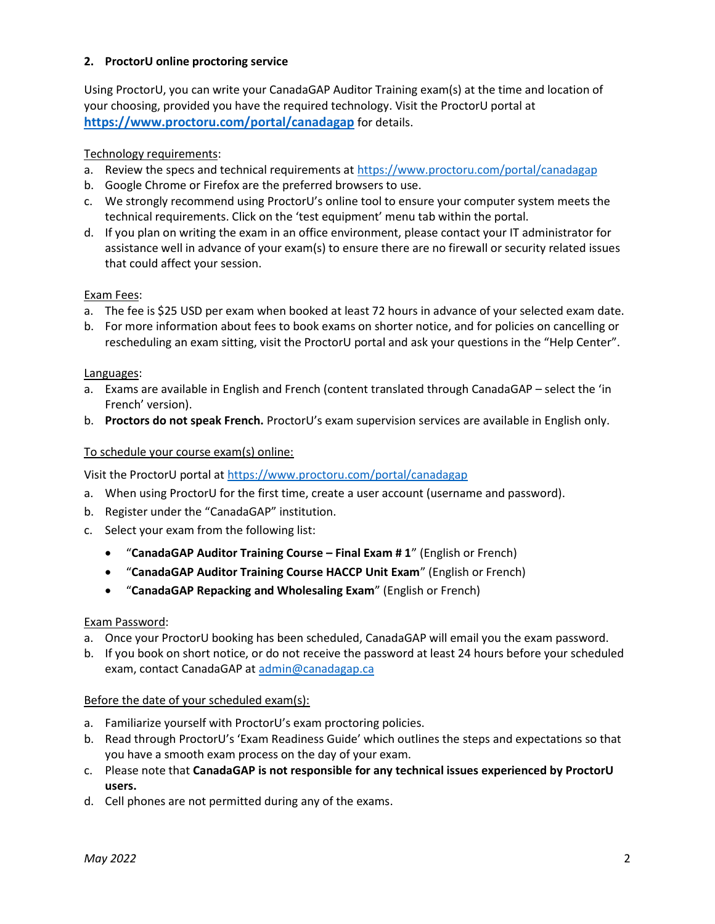## 2. ProctorU online proctoring service

Using ProctorU, you can write your CanadaGAP Auditor Training exam(s) at the time and location of your choosing, provided you have the required technology. Visit the ProctorU portal at https://www.proctoru.com/portal/canadagap for details.

## Technology requirements:

- a. Review the specs and technical requirements at https://www.proctoru.com/portal/canadagap
- b. Google Chrome or Firefox are the preferred browsers to use.
- c. We strongly recommend using ProctorU's online tool to ensure your computer system meets the technical requirements. Click on the 'test equipment' menu tab within the portal.
- d. If you plan on writing the exam in an office environment, please contact your IT administrator for assistance well in advance of your exam(s) to ensure there are no firewall or security related issues that could affect your session.

#### Exam Fees:

- a. The fee is \$25 USD per exam when booked at least 72 hours in advance of your selected exam date.
- b. For more information about fees to book exams on shorter notice, and for policies on cancelling or rescheduling an exam sitting, visit the ProctorU portal and ask your questions in the "Help Center".

#### Languages:

- a. Exams are available in English and French (content translated through CanadaGAP select the 'in French' version).
- b. Proctors do not speak French. ProctorU's exam supervision services are available in English only.

## To schedule your course exam(s) online:

Visit the ProctorU portal at https://www.proctoru.com/portal/canadagap

- a. When using ProctorU for the first time, create a user account (username and password).
- b. Register under the "CanadaGAP" institution.
- c. Select your exam from the following list:
	- "CanadaGAP Auditor Training Course Final Exam # 1" (English or French)
	- "CanadaGAP Auditor Training Course HACCP Unit Exam" (English or French)
	- "CanadaGAP Repacking and Wholesaling Exam" (English or French)

#### Exam Password:

- a. Once your ProctorU booking has been scheduled, CanadaGAP will email you the exam password.
- b. If you book on short notice, or do not receive the password at least 24 hours before your scheduled exam, contact CanadaGAP at admin@canadagap.ca

#### Before the date of your scheduled exam(s):

- a. Familiarize yourself with ProctorU's exam proctoring policies.
- b. Read through ProctorU's 'Exam Readiness Guide' which outlines the steps and expectations so that you have a smooth exam process on the day of your exam.
- c. Please note that CanadaGAP is not responsible for any technical issues experienced by ProctorU users.
- d. Cell phones are not permitted during any of the exams.